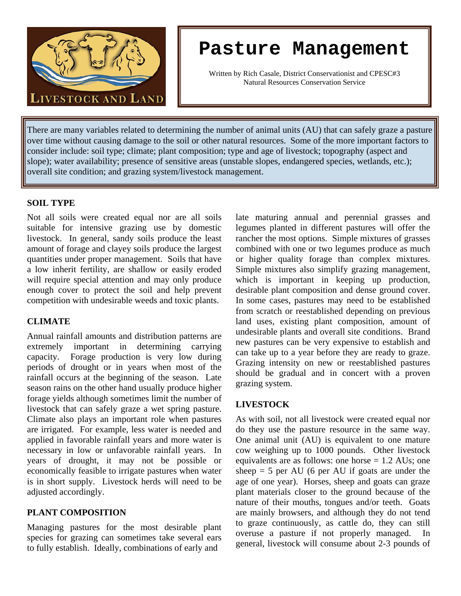

# **Pasture Management**

Written by Rich Casale, District Conservationist and CPESC#3 Natural Resources Conservation Service

There are many variables related to determining the number of animal units (AU) that can safely graze a pasture over time without causing damage to the soil or other natural resources. Some of the more important factors to consider include: soil type; climate; plant composition; type and age of livestock; topography (aspect and slope); water availability; presence of sensitive areas (unstable slopes, endangered species, wetlands, etc.); overall site condition; and grazing system/livestock management.

### **SOIL TYPE**

Ī

Not all soils were created equal nor are all soils suitable for intensive grazing use by domestic livestock. In general, sandy soils produce the least amount of forage and clayey soils produce the largest quantities under proper management. Soils that have a low inherit fertility, are shallow or easily eroded will require special attention and may only produce enough cover to protect the soil and help prevent competition with undesirable weeds and toxic plants.

#### **CLIMATE**

Annual rainfall amounts and distribution patterns are extremely important in determining carrying capacity. Forage production is very low during periods of drought or in years when most of the rainfall occurs at the beginning of the season. Late season rains on the other hand usually produce higher forage yields although sometimes limit the number of livestock that can safely graze a wet spring pasture. Climate also plays an important role when pastures are irrigated. For example, less water is needed and applied in favorable rainfall years and more water is necessary in low or unfavorable rainfall years. In years of drought, it may not be possible or economically feasible to irrigate pastures when water is in short supply. Livestock herds will need to be adjusted accordingly.

#### **PLANT COMPOSITION**

Managing pastures for the most desirable plant species for grazing can sometimes take several ears to fully establish. Ideally, combinations of early and

late maturing annual and perennial grasses and legumes planted in different pastures will offer the rancher the most options. Simple mixtures of grasses combined with one or two legumes produce as much or higher quality forage than complex mixtures. Simple mixtures also simplify grazing management, which is important in keeping up production, desirable plant composition and dense ground cover. In some cases, pastures may need to be established from scratch or reestablished depending on previous land uses, existing plant composition, amount of undesirable plants and overall site conditions. Brand new pastures can be very expensive to establish and can take up to a year before they are ready to graze. Grazing intensity on new or reestablished pastures should be gradual and in concert with a proven grazing system.

#### **LIVESTOCK**

As with soil, not all livestock were created equal nor do they use the pasture resource in the same way. One animal unit (AU) is equivalent to one mature cow weighing up to 1000 pounds. Other livestock equivalents are as follows: one horse  $= 1.2$  AUs; one sheep  $=$  5 per AU (6 per AU if goats are under the age of one year). Horses, sheep and goats can graze plant materials closer to the ground because of the nature of their mouths, tongues and/or teeth. Goats are mainly browsers, and although they do not tend to graze continuously, as cattle do, they can still overuse a pasture if not properly managed. In general, livestock will consume about 2-3 pounds of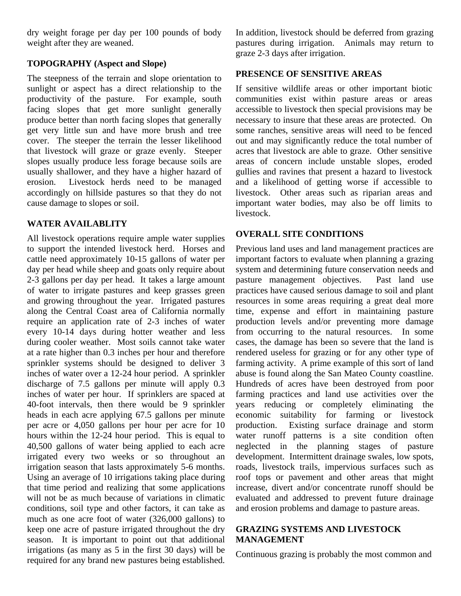dry weight forage per day per 100 pounds of body weight after they are weaned.

# **TOPOGRAPHY (Aspect and Slope)**

The steepness of the terrain and slope orientation to sunlight or aspect has a direct relationship to the productivity of the pasture. For example, south facing slopes that get more sunlight generally produce better than north facing slopes that generally get very little sun and have more brush and tree cover. The steeper the terrain the lesser likelihood that livestock will graze or graze evenly. Steeper slopes usually produce less forage because soils are usually shallower, and they have a higher hazard of erosion. Livestock herds need to be managed accordingly on hillside pastures so that they do not cause damage to slopes or soil.

## **WATER AVAILABLITY**

All livestock operations require ample water supplies to support the intended livestock herd. Horses and cattle need approximately 10-15 gallons of water per day per head while sheep and goats only require about 2-3 gallons per day per head. It takes a large amount of water to irrigate pastures and keep grasses green and growing throughout the year. Irrigated pastures along the Central Coast area of California normally require an application rate of 2-3 inches of water every 10-14 days during hotter weather and less during cooler weather. Most soils cannot take water at a rate higher than 0.3 inches per hour and therefore sprinkler systems should be designed to deliver 3 inches of water over a 12-24 hour period. A sprinkler discharge of 7.5 gallons per minute will apply 0.3 inches of water per hour. If sprinklers are spaced at 40-foot intervals, then there would be 9 sprinkler heads in each acre applying 67.5 gallons per minute per acre or 4,050 gallons per hour per acre for 10 hours within the 12-24 hour period. This is equal to 40,500 gallons of water being applied to each acre irrigated every two weeks or so throughout an irrigation season that lasts approximately 5-6 months. Using an average of 10 irrigations taking place during that time period and realizing that some applications will not be as much because of variations in climatic conditions, soil type and other factors, it can take as much as one acre foot of water (326,000 gallons) to keep one acre of pasture irrigated throughout the dry season. It is important to point out that additional irrigations (as many as 5 in the first 30 days) will be required for any brand new pastures being established.

In addition, livestock should be deferred from grazing pastures during irrigation. Animals may return to graze 2-3 days after irrigation.

#### **PRESENCE OF SENSITIVE AREAS**

If sensitive wildlife areas or other important biotic communities exist within pasture areas or areas accessible to livestock then special provisions may be necessary to insure that these areas are protected. On some ranches, sensitive areas will need to be fenced out and may significantly reduce the total number of acres that livestock are able to graze. Other sensitive areas of concern include unstable slopes, eroded gullies and ravines that present a hazard to livestock and a likelihood of getting worse if accessible to livestock. Other areas such as riparian areas and important water bodies, may also be off limits to livestock.

# **OVERALL SITE CONDITIONS**

Previous land uses and land management practices are important factors to evaluate when planning a grazing system and determining future conservation needs and pasture management objectives. Past land use practices have caused serious damage to soil and plant resources in some areas requiring a great deal more time, expense and effort in maintaining pasture production levels and/or preventing more damage from occurring to the natural resources. In some cases, the damage has been so severe that the land is rendered useless for grazing or for any other type of farming activity. A prime example of this sort of land abuse is found along the San Mateo County coastline. Hundreds of acres have been destroyed from poor farming practices and land use activities over the years reducing or completely eliminating the economic suitability for farming or livestock production. Existing surface drainage and storm water runoff patterns is a site condition often neglected in the planning stages of pasture development. Intermittent drainage swales, low spots, roads, livestock trails, impervious surfaces such as roof tops or pavement and other areas that might increase, divert and/or concentrate runoff should be evaluated and addressed to prevent future drainage and erosion problems and damage to pasture areas.

#### **GRAZING SYSTEMS AND LIVESTOCK MANAGEMENT**

Continuous grazing is probably the most common and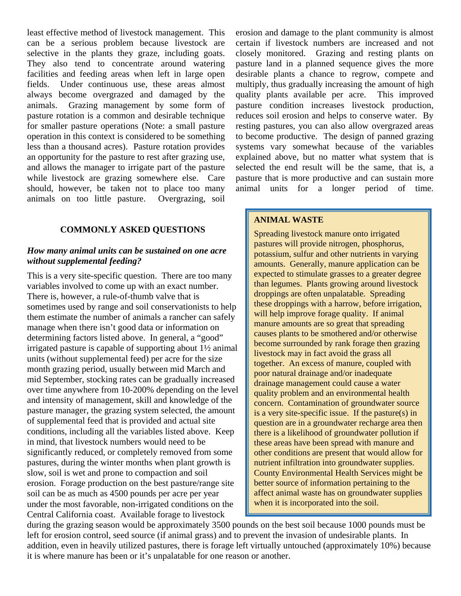least effective method of livestock management. This can be a serious problem because livestock are selective in the plants they graze, including goats. They also tend to concentrate around watering facilities and feeding areas when left in large open fields. Under continuous use, these areas almost always become overgrazed and damaged by the animals. Grazing management by some form of pasture rotation is a common and desirable technique for smaller pasture operations (Note: a small pasture operation in this context is considered to be something less than a thousand acres). Pasture rotation provides an opportunity for the pasture to rest after grazing use, and allows the manager to irrigate part of the pasture while livestock are grazing somewhere else. Care should, however, be taken not to place too many animals on too little pasture. Overgrazing, soil

# **COMMONLY ASKED QUESTIONS**

### *How many animal units can be sustained on one acre without supplemental feeding?*

This is a very site-specific question. There are too many variables involved to come up with an exact number. There is, however, a rule-of-thumb valve that is sometimes used by range and soil conservationists to help them estimate the number of animals a rancher can safely manage when there isn't good data or information on determining factors listed above. In general, a "good" irrigated pasture is capable of supporting about 1½ animal units (without supplemental feed) per acre for the size month grazing period, usually between mid March and mid September, stocking rates can be gradually increased over time anywhere from 10-200% depending on the level and intensity of management, skill and knowledge of the pasture manager, the grazing system selected, the amount of supplemental feed that is provided and actual site conditions, including all the variables listed above. Keep in mind, that livestock numbers would need to be significantly reduced, or completely removed from some pastures, during the winter months when plant growth is slow, soil is wet and prone to compaction and soil erosion. Forage production on the best pasture/range site soil can be as much as 4500 pounds per acre per year under the most favorable, non-irrigated conditions on the Central California coast. Available forage to livestock

erosion and damage to the plant community is almost certain if livestock numbers are increased and not closely monitored. Grazing and resting plants on pasture land in a planned sequence gives the more desirable plants a chance to regrow, compete and multiply, thus gradually increasing the amount of high quality plants available per acre. This improved pasture condition increases livestock production, reduces soil erosion and helps to conserve water. By resting pastures, you can also allow overgrazed areas to become productive. The design of panned grazing systems vary somewhat because of the variables explained above, but no matter what system that is selected the end result will be the same, that is, a pasture that is more productive and can sustain more animal units for a longer period of time.

## **ANIMAL WASTE**

Spreading livestock manure onto irrigated pastures will provide nitrogen, phosphorus, potassium, sulfur and other nutrients in varying amounts. Generally, manure application can be expected to stimulate grasses to a greater degree than legumes. Plants growing around livestock droppings are often unpalatable. Spreading these droppings with a harrow, before irrigation, will help improve forage quality. If animal manure amounts are so great that spreading causes plants to be smothered and/or otherwise become surrounded by rank forage then grazing livestock may in fact avoid the grass all together. An excess of manure, coupled with poor natural drainage and/or inadequate drainage management could cause a water quality problem and an environmental health concern. Contamination of groundwater source is a very site-specific issue. If the pasture(s) in question are in a groundwater recharge area then there is a likelihood of groundwater pollution if these areas have been spread with manure and other conditions are present that would allow for nutrient infiltration into groundwater supplies. County Environmental Health Services might be better source of information pertaining to the affect animal waste has on groundwater supplies when it is incorporated into the soil.

during the grazing season would be approximately 3500 pounds on the best soil because 1000 pounds must be left for erosion control, seed source (if animal grass) and to prevent the invasion of undesirable plants. In addition, even in heavily utilized pastures, there is forage left virtually untouched (approximately 10%) because it is where manure has been or it's unpalatable for one reason or another.